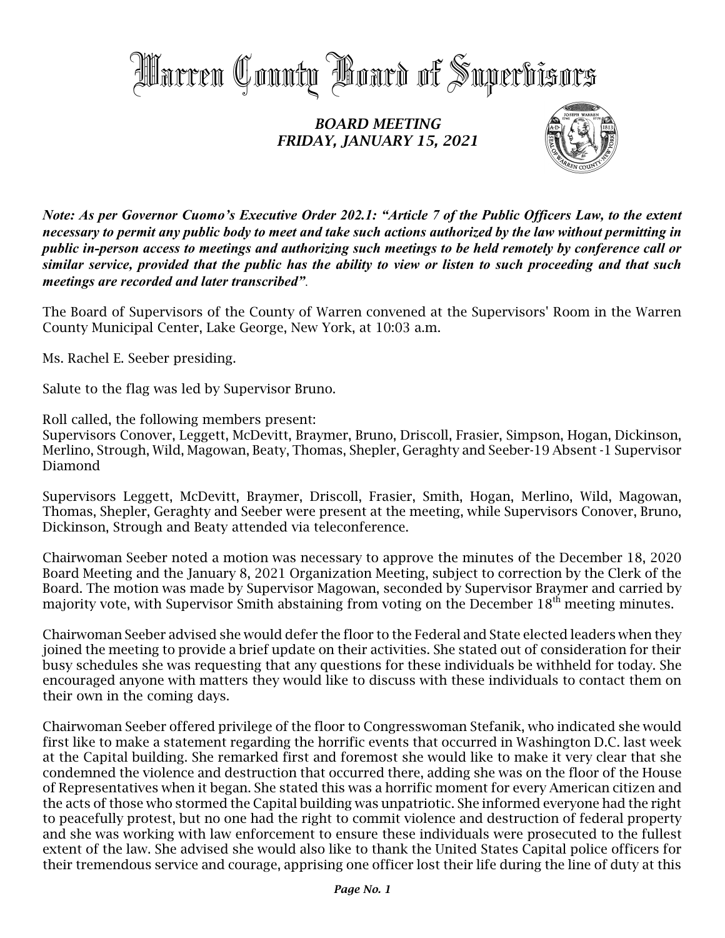

## *BOARD MEETING FRIDAY, JANUARY 15, 2021*



*Note: As per Governor Cuomo's Executive Order 202.1: "Article 7 of the Public Officers Law, to the extent necessary to permit any public body to meet and take such actions authorized by the law without permitting in public in-person access to meetings and authorizing such meetings to be held remotely by conference call or similar service, provided that the public has the ability to view or listen to such proceeding and that such meetings are recorded and later transcribed".*

The Board of Supervisors of the County of Warren convened at the Supervisors' Room in the Warren County Municipal Center, Lake George, New York, at 10:03 a.m.

Ms. Rachel E. Seeber presiding.

Salute to the flag was led by Supervisor Bruno.

Roll called, the following members present:

Supervisors Conover, Leggett, McDevitt, Braymer, Bruno, Driscoll, Frasier, Simpson, Hogan, Dickinson, Merlino, Strough, Wild, Magowan, Beaty, Thomas, Shepler, Geraghty and Seeber-19 Absent -1 Supervisor Diamond

Supervisors Leggett, McDevitt, Braymer, Driscoll, Frasier, Smith, Hogan, Merlino, Wild, Magowan, Thomas, Shepler, Geraghty and Seeber were present at the meeting, while Supervisors Conover, Bruno, Dickinson, Strough and Beaty attended via teleconference.

Chairwoman Seeber noted a motion was necessary to approve the minutes of the December 18, 2020 Board Meeting and the January 8, 2021 Organization Meeting, subject to correction by the Clerk of the Board. The motion was made by Supervisor Magowan, seconded by Supervisor Braymer and carried by majority vote, with Supervisor Smith abstaining from voting on the December  $18^{\rm th}$  meeting minutes.

Chairwoman Seeber advised she would defer the floor to the Federal and State elected leaders when they joined the meeting to provide a brief update on their activities. She stated out of consideration for their busy schedules she was requesting that any questions for these individuals be withheld for today. She encouraged anyone with matters they would like to discuss with these individuals to contact them on their own in the coming days.

Chairwoman Seeber offered privilege of the floor to Congresswoman Stefanik, who indicated she would first like to make a statement regarding the horrific events that occurred in Washington D.C. last week at the Capital building. She remarked first and foremost she would like to make it very clear that she condemned the violence and destruction that occurred there, adding she was on the floor of the House of Representatives when it began. She stated this was a horrific moment for every American citizen and the acts of those who stormed the Capital building was unpatriotic. She informed everyone had the right to peacefully protest, but no one had the right to commit violence and destruction of federal property and she was working with law enforcement to ensure these individuals were prosecuted to the fullest extent of the law. She advised she would also like to thank the United States Capital police officers for their tremendous service and courage, apprising one officer lost their life during the line of duty at this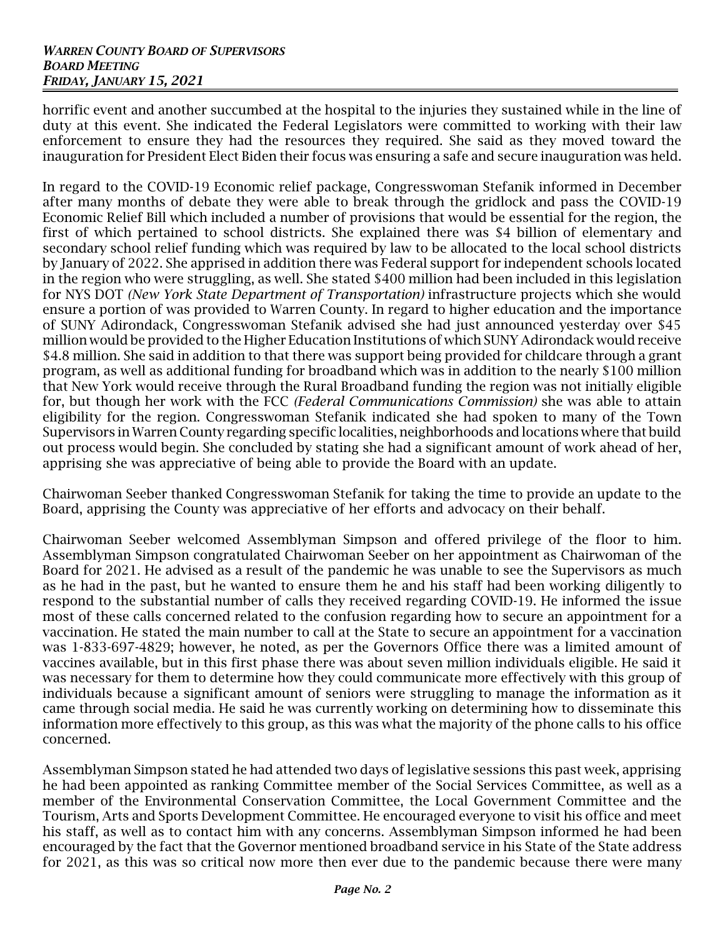horrific event and another succumbed at the hospital to the injuries they sustained while in the line of duty at this event. She indicated the Federal Legislators were committed to working with their law enforcement to ensure they had the resources they required. She said as they moved toward the inauguration for President Elect Biden their focus was ensuring a safe and secure inauguration was held.

In regard to the COVID-19 Economic relief package, Congresswoman Stefanik informed in December after many months of debate they were able to break through the gridlock and pass the COVID-19 Economic Relief Bill which included a number of provisions that would be essential for the region, the first of which pertained to school districts. She explained there was \$4 billion of elementary and secondary school relief funding which was required by law to be allocated to the local school districts by January of 2022. She apprised in addition there was Federal support for independent schools located in the region who were struggling, as well. She stated \$400 million had been included in this legislation for NYS DOT *(New York State Department of Transportation)* infrastructure projects which she would ensure a portion of was provided to Warren County. In regard to higher education and the importance of SUNY Adirondack, Congresswoman Stefanik advised she had just announced yesterday over \$45 million would be provided to the Higher Education Institutions of which SUNY Adirondack would receive \$4.8 million. She said in addition to that there was support being provided for childcare through a grant program, as well as additional funding for broadband which was in addition to the nearly \$100 million that New York would receive through the Rural Broadband funding the region was not initially eligible for, but though her work with the FCC *(Federal Communications Commission)* she was able to attain eligibility for the region. Congresswoman Stefanik indicated she had spoken to many of the Town Supervisors in WarrenCounty regarding specific localities, neighborhoods and locations where that build out process would begin. She concluded by stating she had a significant amount of work ahead of her, apprising she was appreciative of being able to provide the Board with an update.

Chairwoman Seeber thanked Congresswoman Stefanik for taking the time to provide an update to the Board, apprising the County was appreciative of her efforts and advocacy on their behalf.

Chairwoman Seeber welcomed Assemblyman Simpson and offered privilege of the floor to him. Assemblyman Simpson congratulated Chairwoman Seeber on her appointment as Chairwoman of the Board for 2021. He advised as a result of the pandemic he was unable to see the Supervisors as much as he had in the past, but he wanted to ensure them he and his staff had been working diligently to respond to the substantial number of calls they received regarding COVID-19. He informed the issue most of these calls concerned related to the confusion regarding how to secure an appointment for a vaccination. He stated the main number to call at the State to secure an appointment for a vaccination was 1-833-697-4829; however, he noted, as per the Governors Office there was a limited amount of vaccines available, but in this first phase there was about seven million individuals eligible. He said it was necessary for them to determine how they could communicate more effectively with this group of individuals because a significant amount of seniors were struggling to manage the information as it came through social media. He said he was currently working on determining how to disseminate this information more effectively to this group, as this was what the majority of the phone calls to his office concerned.

Assemblyman Simpson stated he had attended two days of legislative sessions this past week, apprising he had been appointed as ranking Committee member of the Social Services Committee, as well as a member of the Environmental Conservation Committee, the Local Government Committee and the Tourism, Arts and Sports Development Committee. He encouraged everyone to visit his office and meet his staff, as well as to contact him with any concerns. Assemblyman Simpson informed he had been encouraged by the fact that the Governor mentioned broadband service in his State of the State address for 2021, as this was so critical now more then ever due to the pandemic because there were many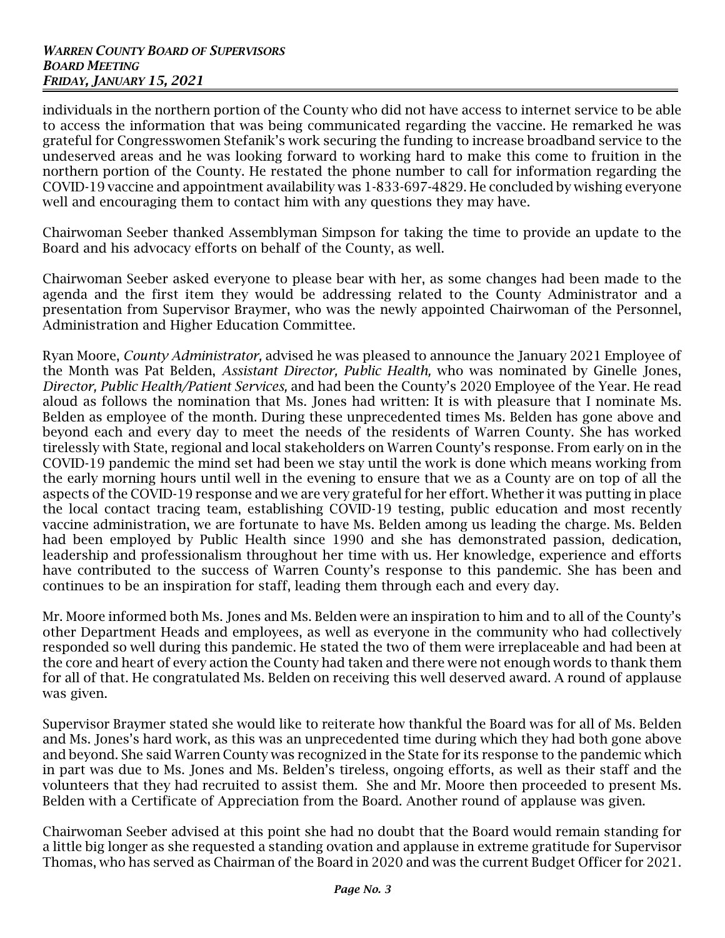individuals in the northern portion of the County who did not have access to internet service to be able to access the information that was being communicated regarding the vaccine. He remarked he was grateful for Congresswomen Stefanik's work securing the funding to increase broadband service to the undeserved areas and he was looking forward to working hard to make this come to fruition in the northern portion of the County. He restated the phone number to call for information regarding the COVID-19 vaccine and appointment availability was 1-833-697-4829. He concluded by wishing everyone well and encouraging them to contact him with any questions they may have.

Chairwoman Seeber thanked Assemblyman Simpson for taking the time to provide an update to the Board and his advocacy efforts on behalf of the County, as well.

Chairwoman Seeber asked everyone to please bear with her, as some changes had been made to the agenda and the first item they would be addressing related to the County Administrator and a presentation from Supervisor Braymer, who was the newly appointed Chairwoman of the Personnel, Administration and Higher Education Committee.

Ryan Moore, *County Administrator,* advised he was pleased to announce the January 2021 Employee of the Month was Pat Belden, *Assistant Director, Public Health,* who was nominated by Ginelle Jones, *Director, Public Health/Patient Services,* and had been the County's 2020 Employee of the Year. He read aloud as follows the nomination that Ms. Jones had written: It is with pleasure that I nominate Ms. Belden as employee of the month. During these unprecedented times Ms. Belden has gone above and beyond each and every day to meet the needs of the residents of Warren County. She has worked tirelessly with State, regional and local stakeholders on Warren County's response. From early on in the COVID-19 pandemic the mind set had been we stay until the work is done which means working from the early morning hours until well in the evening to ensure that we as a County are on top of all the aspects of the COVID-19 response and we are very grateful for her effort. Whether it was putting in place the local contact tracing team, establishing COVID-19 testing, public education and most recently vaccine administration, we are fortunate to have Ms. Belden among us leading the charge. Ms. Belden had been employed by Public Health since 1990 and she has demonstrated passion, dedication, leadership and professionalism throughout her time with us. Her knowledge, experience and efforts have contributed to the success of Warren County's response to this pandemic. She has been and continues to be an inspiration for staff, leading them through each and every day.

Mr. Moore informed both Ms. Jones and Ms. Belden were an inspiration to him and to all of the County's other Department Heads and employees, as well as everyone in the community who had collectively responded so well during this pandemic. He stated the two of them were irreplaceable and had been at the core and heart of every action the County had taken and there were not enough words to thank them for all of that. He congratulated Ms. Belden on receiving this well deserved award. A round of applause was given.

Supervisor Braymer stated she would like to reiterate how thankful the Board was for all of Ms. Belden and Ms. Jones's hard work, as this was an unprecedented time during which they had both gone above and beyond. She said Warren County was recognized in the State for its response to the pandemic which in part was due to Ms. Jones and Ms. Belden's tireless, ongoing efforts, as well as their staff and the volunteers that they had recruited to assist them. She and Mr. Moore then proceeded to present Ms. Belden with a Certificate of Appreciation from the Board. Another round of applause was given.

Chairwoman Seeber advised at this point she had no doubt that the Board would remain standing for a little big longer as she requested a standing ovation and applause in extreme gratitude for Supervisor Thomas, who has served as Chairman of the Board in 2020 and was the current Budget Officer for 2021.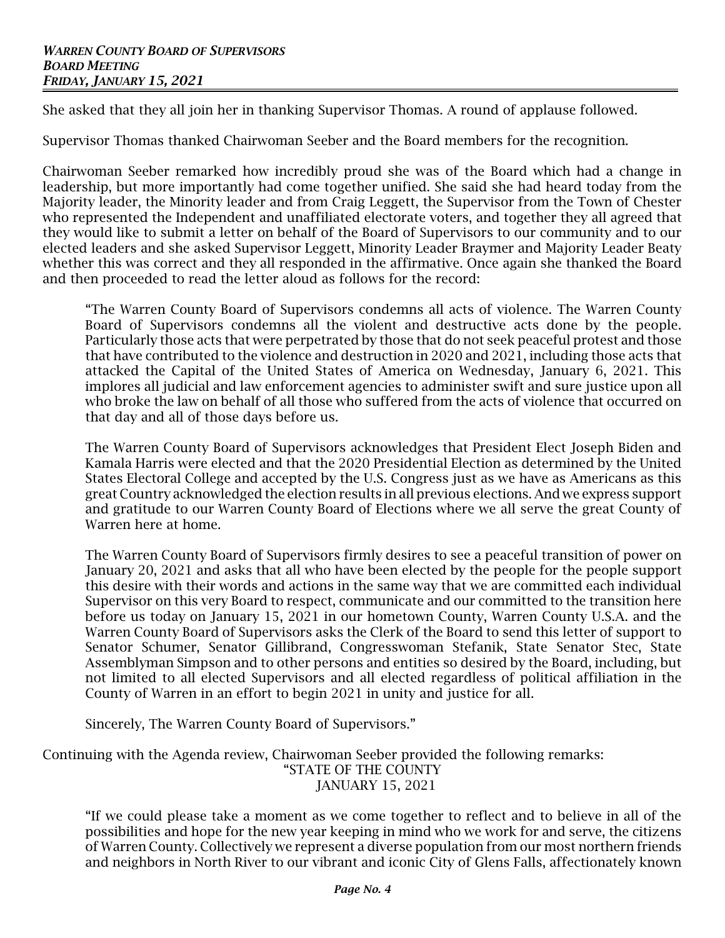She asked that they all join her in thanking Supervisor Thomas. A round of applause followed.

Supervisor Thomas thanked Chairwoman Seeber and the Board members for the recognition.

Chairwoman Seeber remarked how incredibly proud she was of the Board which had a change in leadership, but more importantly had come together unified. She said she had heard today from the Majority leader, the Minority leader and from Craig Leggett, the Supervisor from the Town of Chester who represented the Independent and unaffiliated electorate voters, and together they all agreed that they would like to submit a letter on behalf of the Board of Supervisors to our community and to our elected leaders and she asked Supervisor Leggett, Minority Leader Braymer and Majority Leader Beaty whether this was correct and they all responded in the affirmative. Once again she thanked the Board and then proceeded to read the letter aloud as follows for the record:

"The Warren County Board of Supervisors condemns all acts of violence. The Warren County Board of Supervisors condemns all the violent and destructive acts done by the people. Particularly those acts that were perpetrated by those that do not seek peaceful protest and those that have contributed to the violence and destruction in 2020 and 2021, including those acts that attacked the Capital of the United States of America on Wednesday, January 6, 2021. This implores all judicial and law enforcement agencies to administer swift and sure justice upon all who broke the law on behalf of all those who suffered from the acts of violence that occurred on that day and all of those days before us.

The Warren County Board of Supervisors acknowledges that President Elect Joseph Biden and Kamala Harris were elected and that the 2020 Presidential Election as determined by the United States Electoral College and accepted by the U.S. Congress just as we have as Americans as this great Country acknowledged the election results in all previous elections. And we express support and gratitude to our Warren County Board of Elections where we all serve the great County of Warren here at home.

The Warren County Board of Supervisors firmly desires to see a peaceful transition of power on January 20, 2021 and asks that all who have been elected by the people for the people support this desire with their words and actions in the same way that we are committed each individual Supervisor on this very Board to respect, communicate and our committed to the transition here before us today on January 15, 2021 in our hometown County, Warren County U.S.A. and the Warren County Board of Supervisors asks the Clerk of the Board to send this letter of support to Senator Schumer, Senator Gillibrand, Congresswoman Stefanik, State Senator Stec, State Assemblyman Simpson and to other persons and entities so desired by the Board, including, but not limited to all elected Supervisors and all elected regardless of political affiliation in the County of Warren in an effort to begin 2021 in unity and justice for all.

Sincerely, The Warren County Board of Supervisors."

Continuing with the Agenda review, Chairwoman Seeber provided the following remarks: "STATE OF THE COUNTY JANUARY 15, 2021

"If we could please take a moment as we come together to reflect and to believe in all of the possibilities and hope for the new year keeping in mind who we work for and serve, the citizens of Warren County. Collectively we represent a diverse population from our most northern friends and neighbors in North River to our vibrant and iconic City of Glens Falls, affectionately known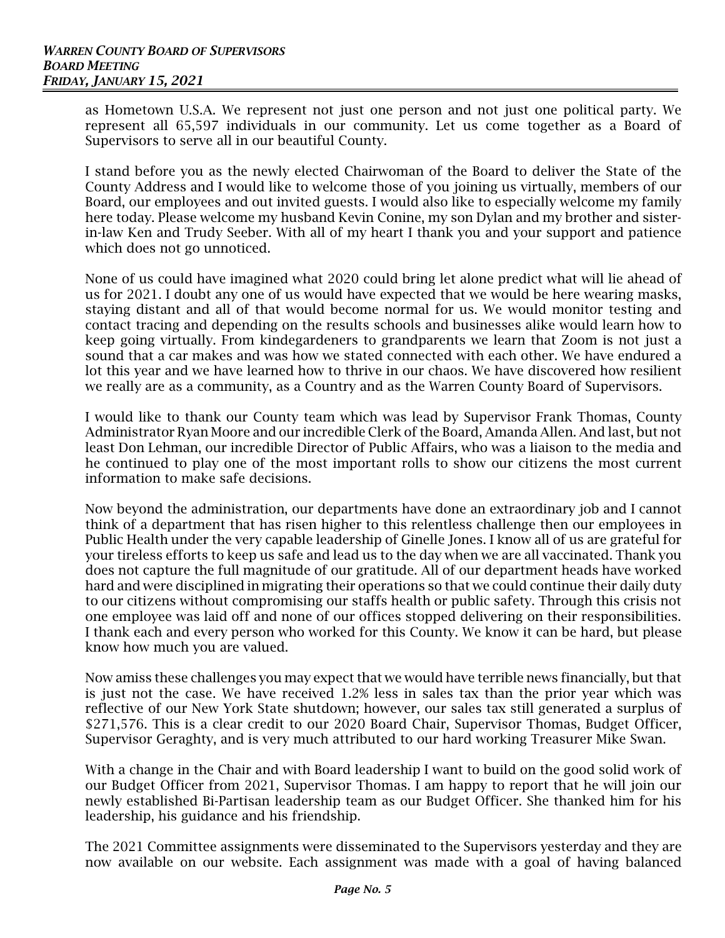as Hometown U.S.A. We represent not just one person and not just one political party. We represent all 65,597 individuals in our community. Let us come together as a Board of Supervisors to serve all in our beautiful County.

I stand before you as the newly elected Chairwoman of the Board to deliver the State of the County Address and I would like to welcome those of you joining us virtually, members of our Board, our employees and out invited guests. I would also like to especially welcome my family here today. Please welcome my husband Kevin Conine, my son Dylan and my brother and sisterin-law Ken and Trudy Seeber. With all of my heart I thank you and your support and patience which does not go unnoticed.

None of us could have imagined what 2020 could bring let alone predict what will lie ahead of us for 2021. I doubt any one of us would have expected that we would be here wearing masks, staying distant and all of that would become normal for us. We would monitor testing and contact tracing and depending on the results schools and businesses alike would learn how to keep going virtually. From kindegardeners to grandparents we learn that Zoom is not just a sound that a car makes and was how we stated connected with each other. We have endured a lot this year and we have learned how to thrive in our chaos. We have discovered how resilient we really are as a community, as a Country and as the Warren County Board of Supervisors.

I would like to thank our County team which was lead by Supervisor Frank Thomas, County Administrator Ryan Moore and our incredible Clerk of the Board, Amanda Allen. And last, but not least Don Lehman, our incredible Director of Public Affairs, who was a liaison to the media and he continued to play one of the most important rolls to show our citizens the most current information to make safe decisions.

Now beyond the administration, our departments have done an extraordinary job and I cannot think of a department that has risen higher to this relentless challenge then our employees in Public Health under the very capable leadership of Ginelle Jones. I know all of us are grateful for your tireless efforts to keep us safe and lead us to the day when we are all vaccinated. Thank you does not capture the full magnitude of our gratitude. All of our department heads have worked hard and were disciplined in migrating their operations so that we could continue their daily duty to our citizens without compromising our staffs health or public safety. Through this crisis not one employee was laid off and none of our offices stopped delivering on their responsibilities. I thank each and every person who worked for this County. We know it can be hard, but please know how much you are valued.

Now amiss these challenges you may expect that we would have terrible news financially, but that is just not the case. We have received 1.2% less in sales tax than the prior year which was reflective of our New York State shutdown; however, our sales tax still generated a surplus of \$271,576. This is a clear credit to our 2020 Board Chair, Supervisor Thomas, Budget Officer, Supervisor Geraghty, and is very much attributed to our hard working Treasurer Mike Swan.

With a change in the Chair and with Board leadership I want to build on the good solid work of our Budget Officer from 2021, Supervisor Thomas. I am happy to report that he will join our newly established Bi-Partisan leadership team as our Budget Officer. She thanked him for his leadership, his guidance and his friendship.

The 2021 Committee assignments were disseminated to the Supervisors yesterday and they are now available on our website. Each assignment was made with a goal of having balanced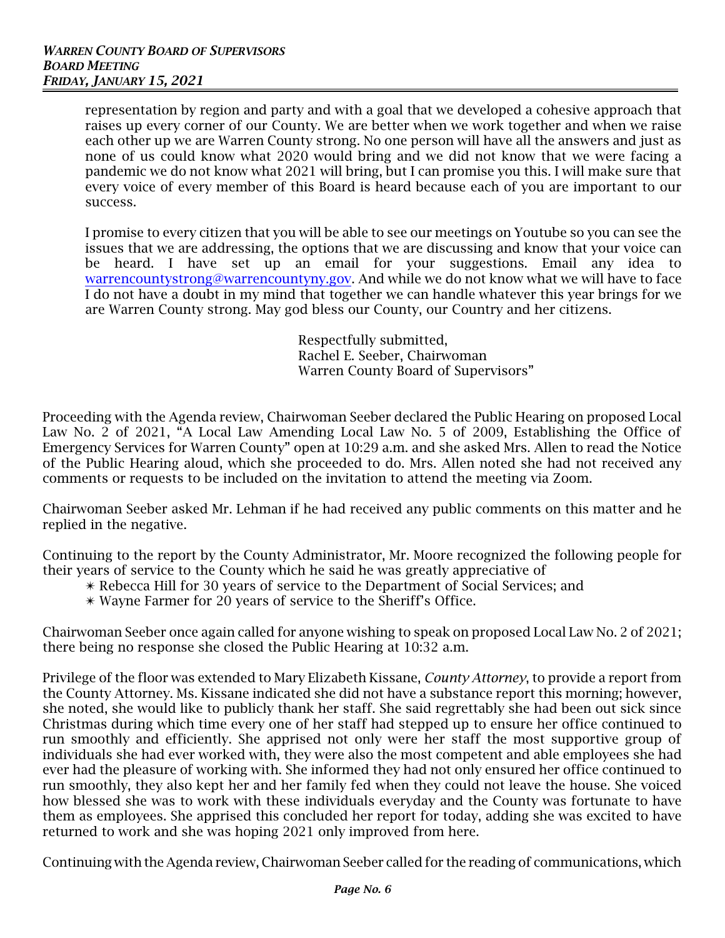representation by region and party and with a goal that we developed a cohesive approach that raises up every corner of our County. We are better when we work together and when we raise each other up we are Warren County strong. No one person will have all the answers and just as none of us could know what 2020 would bring and we did not know that we were facing a pandemic we do not know what 2021 will bring, but I can promise you this. I will make sure that every voice of every member of this Board is heard because each of you are important to our success.

I promise to every citizen that you will be able to see our meetings on Youtube so you can see the issues that we are addressing, the options that we are discussing and know that your voice can be heard. I have set up an email for your suggestions. Email any idea to [warrencountystrong@warrencountyny.gov](mailto:warrencountystrong@warrencountyny.gov). And while we do not know what we will have to face I do not have a doubt in my mind that together we can handle whatever this year brings for we are Warren County strong. May god bless our County, our Country and her citizens.

> Respectfully submitted, Rachel E. Seeber, Chairwoman Warren County Board of Supervisors"

Proceeding with the Agenda review, Chairwoman Seeber declared the Public Hearing on proposed Local Law No. 2 of 2021, "A Local Law Amending Local Law No. 5 of 2009, Establishing the Office of Emergency Services for Warren County" open at 10:29 a.m. and she asked Mrs. Allen to read the Notice of the Public Hearing aloud, which she proceeded to do. Mrs. Allen noted she had not received any comments or requests to be included on the invitation to attend the meeting via Zoom.

Chairwoman Seeber asked Mr. Lehman if he had received any public comments on this matter and he replied in the negative.

Continuing to the report by the County Administrator, Mr. Moore recognized the following people for their years of service to the County which he said he was greatly appreciative of

- \* Rebecca Hill for 30 years of service to the Department of Social Services; and
- $*$  Wayne Farmer for 20 years of service to the Sheriff's Office.

Chairwoman Seeber once again called for anyone wishing to speak on proposed Local Law No. 2 of 2021; there being no response she closed the Public Hearing at 10:32 a.m.

Privilege of the floor was extended to Mary Elizabeth Kissane, *County Attorney*, to provide a report from the County Attorney. Ms. Kissane indicated she did not have a substance report this morning; however, she noted, she would like to publicly thank her staff. She said regrettably she had been out sick since Christmas during which time every one of her staff had stepped up to ensure her office continued to run smoothly and efficiently. She apprised not only were her staff the most supportive group of individuals she had ever worked with, they were also the most competent and able employees she had ever had the pleasure of working with. She informed they had not only ensured her office continued to run smoothly, they also kept her and her family fed when they could not leave the house. She voiced how blessed she was to work with these individuals everyday and the County was fortunate to have them as employees. She apprised this concluded her report for today, adding she was excited to have returned to work and she was hoping 2021 only improved from here.

Continuing with the Agenda review, Chairwoman Seeber called for the reading of communications, which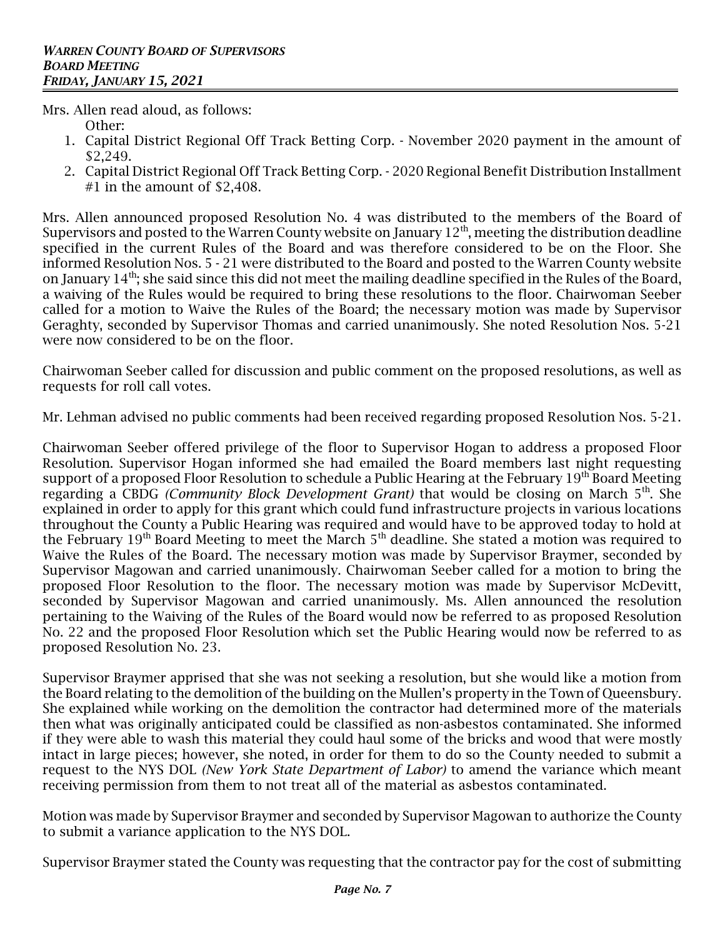Mrs. Allen read aloud, as follows:

- Other:
- 1. Capital District Regional Off Track Betting Corp. November 2020 payment in the amount of \$2,249.
- 2. Capital District Regional Off Track Betting Corp. 2020 Regional Benefit Distribution Installment #1 in the amount of \$2,408.

Mrs. Allen announced proposed Resolution No. 4 was distributed to the members of the Board of Supervisors and posted to the Warren County website on January  $12^{\rm th}$ , meeting the distribution deadline specified in the current Rules of the Board and was therefore considered to be on the Floor. She informed Resolution Nos. 5 - 21 were distributed to the Board and posted to the Warren County website on January 14 $^{\rm th}$ ; she said since this did not meet the mailing deadline specified in the Rules of the Board, a waiving of the Rules would be required to bring these resolutions to the floor. Chairwoman Seeber called for a motion to Waive the Rules of the Board; the necessary motion was made by Supervisor Geraghty, seconded by Supervisor Thomas and carried unanimously. She noted Resolution Nos. 5-21 were now considered to be on the floor.

Chairwoman Seeber called for discussion and public comment on the proposed resolutions, as well as requests for roll call votes.

Mr. Lehman advised no public comments had been received regarding proposed Resolution Nos. 5-21.

Chairwoman Seeber offered privilege of the floor to Supervisor Hogan to address a proposed Floor Resolution. Supervisor Hogan informed she had emailed the Board members last night requesting support of a proposed Floor Resolution to schedule a Public Hearing at the February 19<sup>th</sup> Board Meeting regarding a CBDG *(Community Block Development Grant)* that would be closing on March 5<sup>th</sup>. She explained in order to apply for this grant which could fund infrastructure projects in various locations throughout the County a Public Hearing was required and would have to be approved today to hold at the February  $19^{\rm th}$  Board Meeting to meet the March  $5^{\rm th}$  deadline. She stated a motion was required to Waive the Rules of the Board. The necessary motion was made by Supervisor Braymer, seconded by Supervisor Magowan and carried unanimously. Chairwoman Seeber called for a motion to bring the proposed Floor Resolution to the floor. The necessary motion was made by Supervisor McDevitt, seconded by Supervisor Magowan and carried unanimously. Ms. Allen announced the resolution pertaining to the Waiving of the Rules of the Board would now be referred to as proposed Resolution No. 22 and the proposed Floor Resolution which set the Public Hearing would now be referred to as proposed Resolution No. 23.

Supervisor Braymer apprised that she was not seeking a resolution, but she would like a motion from the Board relating to the demolition of the building on the Mullen's property in the Town of Queensbury. She explained while working on the demolition the contractor had determined more of the materials then what was originally anticipated could be classified as non-asbestos contaminated. She informed if they were able to wash this material they could haul some of the bricks and wood that were mostly intact in large pieces; however, she noted, in order for them to do so the County needed to submit a request to the NYS DOL *(New York State Department of Labor)* to amend the variance which meant receiving permission from them to not treat all of the material as asbestos contaminated.

Motion was made by Supervisor Braymer and seconded by Supervisor Magowan to authorize the County to submit a variance application to the NYS DOL.

Supervisor Braymer stated the County was requesting that the contractor pay for the cost of submitting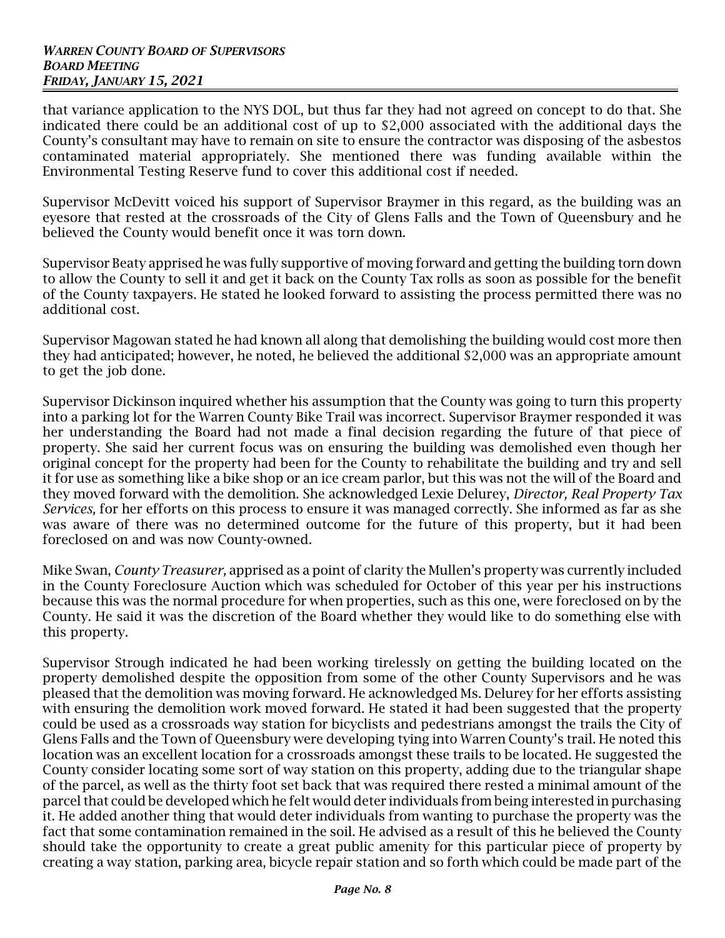that variance application to the NYS DOL, but thus far they had not agreed on concept to do that. She indicated there could be an additional cost of up to \$2,000 associated with the additional days the County's consultant may have to remain on site to ensure the contractor was disposing of the asbestos contaminated material appropriately. She mentioned there was funding available within the Environmental Testing Reserve fund to cover this additional cost if needed.

Supervisor McDevitt voiced his support of Supervisor Braymer in this regard, as the building was an eyesore that rested at the crossroads of the City of Glens Falls and the Town of Queensbury and he believed the County would benefit once it was torn down.

Supervisor Beaty apprised he was fully supportive of moving forward and getting the building torn down to allow the County to sell it and get it back on the County Tax rolls as soon as possible for the benefit of the County taxpayers. He stated he looked forward to assisting the process permitted there was no additional cost.

Supervisor Magowan stated he had known all along that demolishing the building would cost more then they had anticipated; however, he noted, he believed the additional \$2,000 was an appropriate amount to get the job done.

Supervisor Dickinson inquired whether his assumption that the County was going to turn this property into a parking lot for the Warren County Bike Trail was incorrect. Supervisor Braymer responded it was her understanding the Board had not made a final decision regarding the future of that piece of property. She said her current focus was on ensuring the building was demolished even though her original concept for the property had been for the County to rehabilitate the building and try and sell it for use as something like a bike shop or an ice cream parlor, but this was not the will of the Board and they moved forward with the demolition. She acknowledged Lexie Delurey, *Director, Real Property Tax Services,* for her efforts on this process to ensure it was managed correctly. She informed as far as she was aware of there was no determined outcome for the future of this property, but it had been foreclosed on and was now County-owned.

Mike Swan, *County Treasurer,* apprised as a point of clarity the Mullen's property was currently included in the County Foreclosure Auction which was scheduled for October of this year per his instructions because this was the normal procedure for when properties, such as this one, were foreclosed on by the County. He said it was the discretion of the Board whether they would like to do something else with this property.

Supervisor Strough indicated he had been working tirelessly on getting the building located on the property demolished despite the opposition from some of the other County Supervisors and he was pleased that the demolition was moving forward. He acknowledged Ms. Delurey for her efforts assisting with ensuring the demolition work moved forward. He stated it had been suggested that the property could be used as a crossroads way station for bicyclists and pedestrians amongst the trails the City of Glens Falls and the Town of Queensbury were developing tying into Warren County's trail. He noted this location was an excellent location for a crossroads amongst these trails to be located. He suggested the County consider locating some sort of way station on this property, adding due to the triangular shape of the parcel, as well as the thirty foot set back that was required there rested a minimal amount of the parcel that could be developed which he felt would deter individuals from being interested in purchasing it. He added another thing that would deter individuals from wanting to purchase the property was the fact that some contamination remained in the soil. He advised as a result of this he believed the County should take the opportunity to create a great public amenity for this particular piece of property by creating a way station, parking area, bicycle repair station and so forth which could be made part of the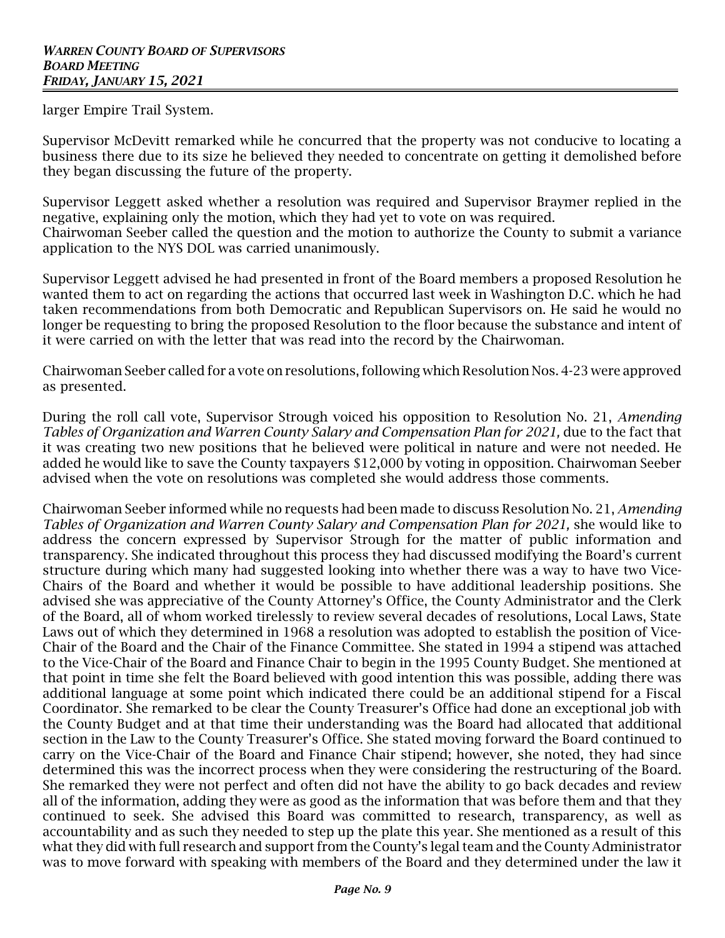larger Empire Trail System.

Supervisor McDevitt remarked while he concurred that the property was not conducive to locating a business there due to its size he believed they needed to concentrate on getting it demolished before they began discussing the future of the property.

Supervisor Leggett asked whether a resolution was required and Supervisor Braymer replied in the negative, explaining only the motion, which they had yet to vote on was required. Chairwoman Seeber called the question and the motion to authorize the County to submit a variance application to the NYS DOL was carried unanimously.

Supervisor Leggett advised he had presented in front of the Board members a proposed Resolution he wanted them to act on regarding the actions that occurred last week in Washington D.C. which he had taken recommendations from both Democratic and Republican Supervisors on. He said he would no longer be requesting to bring the proposed Resolution to the floor because the substance and intent of it were carried on with the letter that was read into the record by the Chairwoman.

Chairwoman Seeber called for a vote on resolutions, following which Resolution Nos. 4-23 were approved as presented.

During the roll call vote, Supervisor Strough voiced his opposition to Resolution No. 21, *Amending Tables of Organization and Warren County Salary and Compensation Plan for 2021,* due to the fact that it was creating two new positions that he believed were political in nature and were not needed. He added he would like to save the County taxpayers \$12,000 by voting in opposition. Chairwoman Seeber advised when the vote on resolutions was completed she would address those comments.

Chairwoman Seeber informed while no requests had been made to discuss Resolution No. 21, *Amending Tables of Organization and Warren County Salary and Compensation Plan for 2021,* she would like to address the concern expressed by Supervisor Strough for the matter of public information and transparency. She indicated throughout this process they had discussed modifying the Board's current structure during which many had suggested looking into whether there was a way to have two Vice-Chairs of the Board and whether it would be possible to have additional leadership positions. She advised she was appreciative of the County Attorney's Office, the County Administrator and the Clerk of the Board, all of whom worked tirelessly to review several decades of resolutions, Local Laws, State Laws out of which they determined in 1968 a resolution was adopted to establish the position of Vice-Chair of the Board and the Chair of the Finance Committee. She stated in 1994 a stipend was attached to the Vice-Chair of the Board and Finance Chair to begin in the 1995 County Budget. She mentioned at that point in time she felt the Board believed with good intention this was possible, adding there was additional language at some point which indicated there could be an additional stipend for a Fiscal Coordinator. She remarked to be clear the County Treasurer's Office had done an exceptional job with the County Budget and at that time their understanding was the Board had allocated that additional section in the Law to the County Treasurer's Office. She stated moving forward the Board continued to carry on the Vice-Chair of the Board and Finance Chair stipend; however, she noted, they had since determined this was the incorrect process when they were considering the restructuring of the Board. She remarked they were not perfect and often did not have the ability to go back decades and review all of the information, adding they were as good as the information that was before them and that they continued to seek. She advised this Board was committed to research, transparency, as well as accountability and as such they needed to step up the plate this year. She mentioned as a result of this what they did with full research and support from the County's legal team and the County Administrator was to move forward with speaking with members of the Board and they determined under the law it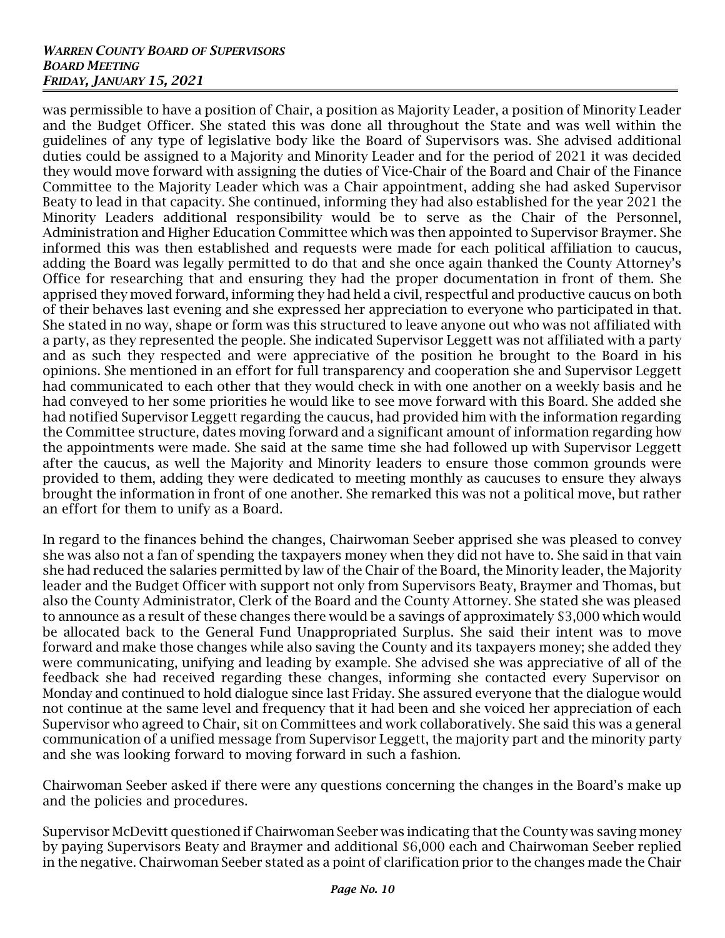## *WARREN COUNTY BOARD OF SUPERVISORS BOARD MEETING FRIDAY, JANUARY 15, 2021*

was permissible to have a position of Chair, a position as Majority Leader, a position of Minority Leader and the Budget Officer. She stated this was done all throughout the State and was well within the guidelines of any type of legislative body like the Board of Supervisors was. She advised additional duties could be assigned to a Majority and Minority Leader and for the period of 2021 it was decided they would move forward with assigning the duties of Vice-Chair of the Board and Chair of the Finance Committee to the Majority Leader which was a Chair appointment, adding she had asked Supervisor Beaty to lead in that capacity. She continued, informing they had also established for the year 2021 the Minority Leaders additional responsibility would be to serve as the Chair of the Personnel, Administration and Higher Education Committee which was then appointed to Supervisor Braymer. She informed this was then established and requests were made for each political affiliation to caucus, adding the Board was legally permitted to do that and she once again thanked the County Attorney's Office for researching that and ensuring they had the proper documentation in front of them. She apprised they moved forward, informing they had held a civil, respectful and productive caucus on both of their behaves last evening and she expressed her appreciation to everyone who participated in that. She stated in no way, shape or form was this structured to leave anyone out who was not affiliated with a party, as they represented the people. She indicated Supervisor Leggett was not affiliated with a party and as such they respected and were appreciative of the position he brought to the Board in his opinions. She mentioned in an effort for full transparency and cooperation she and Supervisor Leggett had communicated to each other that they would check in with one another on a weekly basis and he had conveyed to her some priorities he would like to see move forward with this Board. She added she had notified Supervisor Leggett regarding the caucus, had provided him with the information regarding the Committee structure, dates moving forward and a significant amount of information regarding how the appointments were made. She said at the same time she had followed up with Supervisor Leggett after the caucus, as well the Majority and Minority leaders to ensure those common grounds were provided to them, adding they were dedicated to meeting monthly as caucuses to ensure they always brought the information in front of one another. She remarked this was not a political move, but rather an effort for them to unify as a Board.

In regard to the finances behind the changes, Chairwoman Seeber apprised she was pleased to convey she was also not a fan of spending the taxpayers money when they did not have to. She said in that vain she had reduced the salaries permitted by law of the Chair of the Board, the Minority leader, the Majority leader and the Budget Officer with support not only from Supervisors Beaty, Braymer and Thomas, but also the County Administrator, Clerk of the Board and the County Attorney. She stated she was pleased to announce as a result of these changes there would be a savings of approximately \$3,000 which would be allocated back to the General Fund Unappropriated Surplus. She said their intent was to move forward and make those changes while also saving the County and its taxpayers money; she added they were communicating, unifying and leading by example. She advised she was appreciative of all of the feedback she had received regarding these changes, informing she contacted every Supervisor on Monday and continued to hold dialogue since last Friday. She assured everyone that the dialogue would not continue at the same level and frequency that it had been and she voiced her appreciation of each Supervisor who agreed to Chair, sit on Committees and work collaboratively. She said this was a general communication of a unified message from Supervisor Leggett, the majority part and the minority party and she was looking forward to moving forward in such a fashion.

Chairwoman Seeber asked if there were any questions concerning the changes in the Board's make up and the policies and procedures.

Supervisor McDevitt questioned if Chairwoman Seeber was indicating that the County was saving money by paying Supervisors Beaty and Braymer and additional \$6,000 each and Chairwoman Seeber replied in the negative. Chairwoman Seeber stated as a point of clarification prior to the changes made the Chair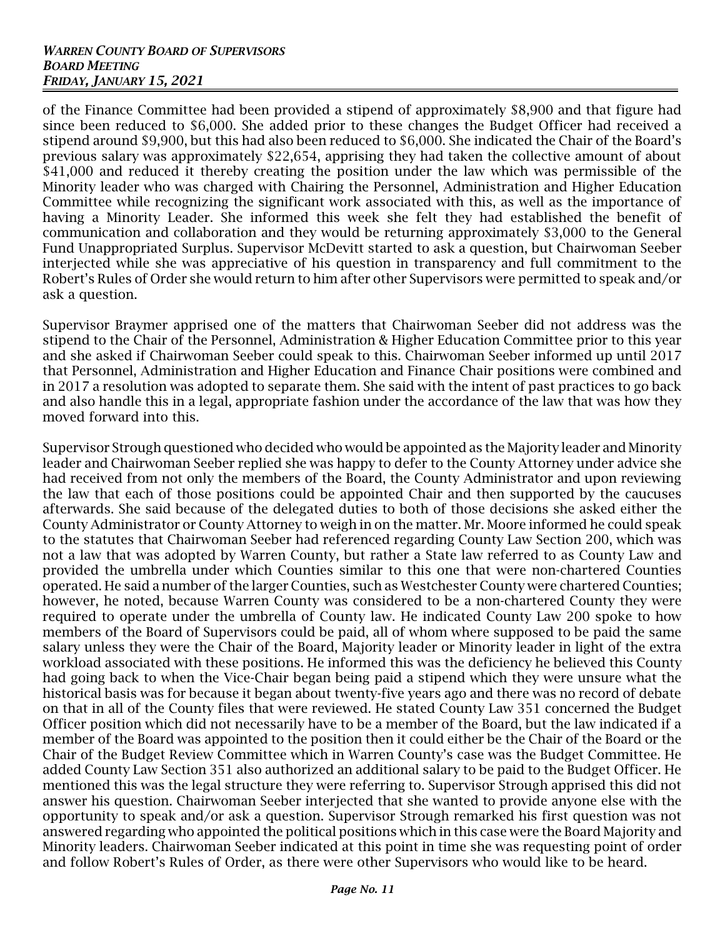## *WARREN COUNTY BOARD OF SUPERVISORS BOARD MEETING FRIDAY, JANUARY 15, 2021*

of the Finance Committee had been provided a stipend of approximately \$8,900 and that figure had since been reduced to \$6,000. She added prior to these changes the Budget Officer had received a stipend around \$9,900, but this had also been reduced to \$6,000. She indicated the Chair of the Board's previous salary was approximately \$22,654, apprising they had taken the collective amount of about \$41,000 and reduced it thereby creating the position under the law which was permissible of the Minority leader who was charged with Chairing the Personnel, Administration and Higher Education Committee while recognizing the significant work associated with this, as well as the importance of having a Minority Leader. She informed this week she felt they had established the benefit of communication and collaboration and they would be returning approximately \$3,000 to the General Fund Unappropriated Surplus. Supervisor McDevitt started to ask a question, but Chairwoman Seeber interjected while she was appreciative of his question in transparency and full commitment to the Robert's Rules of Order she would return to him after other Supervisors were permitted to speak and/or ask a question.

Supervisor Braymer apprised one of the matters that Chairwoman Seeber did not address was the stipend to the Chair of the Personnel, Administration & Higher Education Committee prior to this year and she asked if Chairwoman Seeber could speak to this. Chairwoman Seeber informed up until 2017 that Personnel, Administration and Higher Education and Finance Chair positions were combined and in 2017 a resolution was adopted to separate them. She said with the intent of past practices to go back and also handle this in a legal, appropriate fashion under the accordance of the law that was how they moved forward into this.

Supervisor Strough questioned who decided who would be appointed as the Majority leader and Minority leader and Chairwoman Seeber replied she was happy to defer to the County Attorney under advice she had received from not only the members of the Board, the County Administrator and upon reviewing the law that each of those positions could be appointed Chair and then supported by the caucuses afterwards. She said because of the delegated duties to both of those decisions she asked either the County Administrator or County Attorney to weigh in on the matter. Mr. Moore informed he could speak to the statutes that Chairwoman Seeber had referenced regarding County Law Section 200, which was not a law that was adopted by Warren County, but rather a State law referred to as County Law and provided the umbrella under which Counties similar to this one that were non-chartered Counties operated. He said a number of the larger Counties, such as Westchester County were chartered Counties; however, he noted, because Warren County was considered to be a non-chartered County they were required to operate under the umbrella of County law. He indicated County Law 200 spoke to how members of the Board of Supervisors could be paid, all of whom where supposed to be paid the same salary unless they were the Chair of the Board, Majority leader or Minority leader in light of the extra workload associated with these positions. He informed this was the deficiency he believed this County had going back to when the Vice-Chair began being paid a stipend which they were unsure what the historical basis was for because it began about twenty-five years ago and there was no record of debate on that in all of the County files that were reviewed. He stated County Law 351 concerned the Budget Officer position which did not necessarily have to be a member of the Board, but the law indicated if a member of the Board was appointed to the position then it could either be the Chair of the Board or the Chair of the Budget Review Committee which in Warren County's case was the Budget Committee. He added County Law Section 351 also authorized an additional salary to be paid to the Budget Officer. He mentioned this was the legal structure they were referring to. Supervisor Strough apprised this did not answer his question. Chairwoman Seeber interjected that she wanted to provide anyone else with the opportunity to speak and/or ask a question. Supervisor Strough remarked his first question was not answered regarding who appointed the political positions which in this case were the Board Majority and Minority leaders. Chairwoman Seeber indicated at this point in time she was requesting point of order and follow Robert's Rules of Order, as there were other Supervisors who would like to be heard.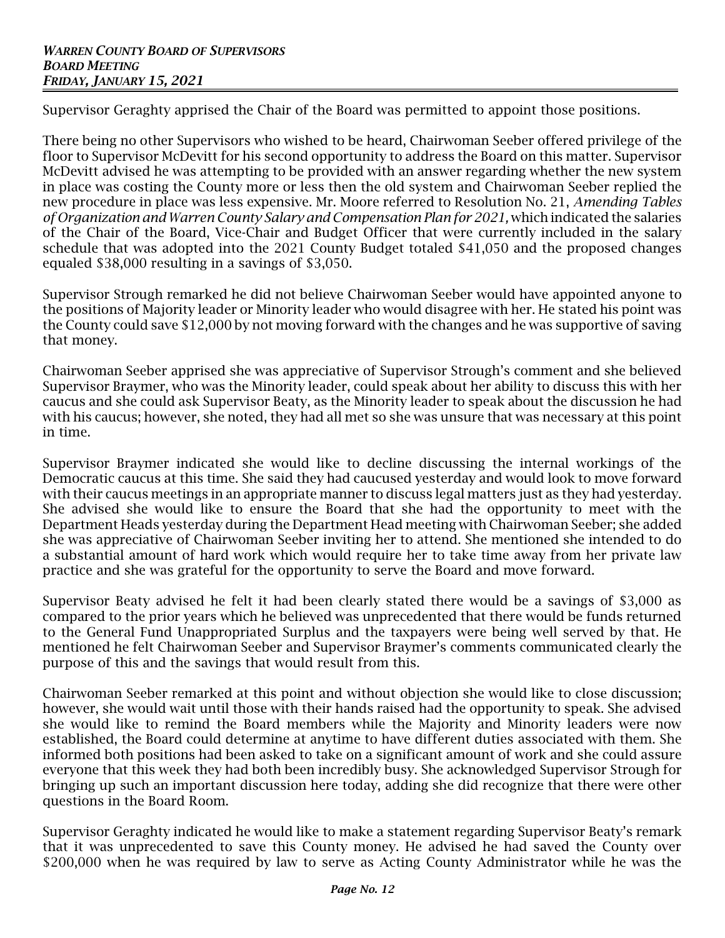Supervisor Geraghty apprised the Chair of the Board was permitted to appoint those positions.

There being no other Supervisors who wished to be heard, Chairwoman Seeber offered privilege of the floor to Supervisor McDevitt for his second opportunity to address the Board on this matter. Supervisor McDevitt advised he was attempting to be provided with an answer regarding whether the new system in place was costing the County more or less then the old system and Chairwoman Seeber replied the new procedure in place was less expensive. Mr. Moore referred to Resolution No. 21, *Amending Tables of Organization and Warren County Salary and Compensation Plan for 2021,* which indicated the salaries of the Chair of the Board, Vice-Chair and Budget Officer that were currently included in the salary schedule that was adopted into the 2021 County Budget totaled \$41,050 and the proposed changes equaled \$38,000 resulting in a savings of \$3,050.

Supervisor Strough remarked he did not believe Chairwoman Seeber would have appointed anyone to the positions of Majority leader or Minority leader who would disagree with her. He stated his point was the County could save \$12,000 by not moving forward with the changes and he was supportive of saving that money.

Chairwoman Seeber apprised she was appreciative of Supervisor Strough's comment and she believed Supervisor Braymer, who was the Minority leader, could speak about her ability to discuss this with her caucus and she could ask Supervisor Beaty, as the Minority leader to speak about the discussion he had with his caucus; however, she noted, they had all met so she was unsure that was necessary at this point in time.

Supervisor Braymer indicated she would like to decline discussing the internal workings of the Democratic caucus at this time. She said they had caucused yesterday and would look to move forward with their caucus meetings in an appropriate manner to discuss legal matters just as they had yesterday. She advised she would like to ensure the Board that she had the opportunity to meet with the Department Heads yesterday during the Department Head meeting with Chairwoman Seeber; she added she was appreciative of Chairwoman Seeber inviting her to attend. She mentioned she intended to do a substantial amount of hard work which would require her to take time away from her private law practice and she was grateful for the opportunity to serve the Board and move forward.

Supervisor Beaty advised he felt it had been clearly stated there would be a savings of \$3,000 as compared to the prior years which he believed was unprecedented that there would be funds returned to the General Fund Unappropriated Surplus and the taxpayers were being well served by that. He mentioned he felt Chairwoman Seeber and Supervisor Braymer's comments communicated clearly the purpose of this and the savings that would result from this.

Chairwoman Seeber remarked at this point and without objection she would like to close discussion; however, she would wait until those with their hands raised had the opportunity to speak. She advised she would like to remind the Board members while the Majority and Minority leaders were now established, the Board could determine at anytime to have different duties associated with them. She informed both positions had been asked to take on a significant amount of work and she could assure everyone that this week they had both been incredibly busy. She acknowledged Supervisor Strough for bringing up such an important discussion here today, adding she did recognize that there were other questions in the Board Room.

Supervisor Geraghty indicated he would like to make a statement regarding Supervisor Beaty's remark that it was unprecedented to save this County money. He advised he had saved the County over \$200,000 when he was required by law to serve as Acting County Administrator while he was the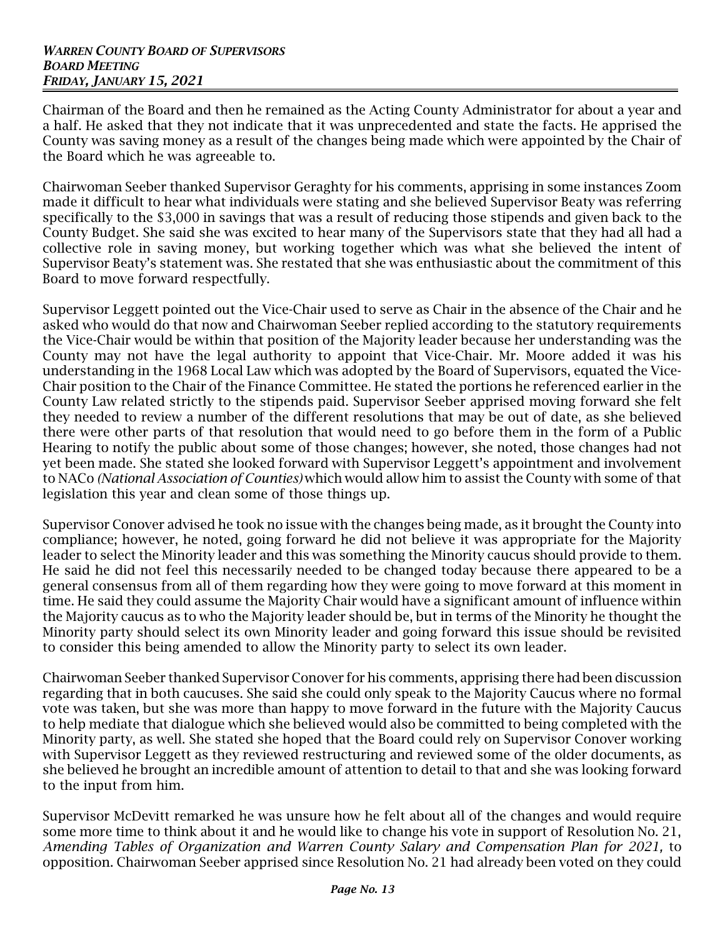Chairman of the Board and then he remained as the Acting County Administrator for about a year and a half. He asked that they not indicate that it was unprecedented and state the facts. He apprised the County was saving money as a result of the changes being made which were appointed by the Chair of the Board which he was agreeable to.

Chairwoman Seeber thanked Supervisor Geraghty for his comments, apprising in some instances Zoom made it difficult to hear what individuals were stating and she believed Supervisor Beaty was referring specifically to the \$3,000 in savings that was a result of reducing those stipends and given back to the County Budget. She said she was excited to hear many of the Supervisors state that they had all had a collective role in saving money, but working together which was what she believed the intent of Supervisor Beaty's statement was. She restated that she was enthusiastic about the commitment of this Board to move forward respectfully.

Supervisor Leggett pointed out the Vice-Chair used to serve as Chair in the absence of the Chair and he asked who would do that now and Chairwoman Seeber replied according to the statutory requirements the Vice-Chair would be within that position of the Majority leader because her understanding was the County may not have the legal authority to appoint that Vice-Chair. Mr. Moore added it was his understanding in the 1968 Local Law which was adopted by the Board of Supervisors, equated the Vice-Chair position to the Chair of the Finance Committee. He stated the portions he referenced earlier in the County Law related strictly to the stipends paid. Supervisor Seeber apprised moving forward she felt they needed to review a number of the different resolutions that may be out of date, as she believed there were other parts of that resolution that would need to go before them in the form of a Public Hearing to notify the public about some of those changes; however, she noted, those changes had not yet been made. She stated she looked forward with Supervisor Leggett's appointment and involvement to NACo *(National Association of Counties)* which would allow him to assist the County with some of that legislation this year and clean some of those things up.

Supervisor Conover advised he took no issue with the changes being made, as it brought the County into compliance; however, he noted, going forward he did not believe it was appropriate for the Majority leader to select the Minority leader and this was something the Minority caucus should provide to them. He said he did not feel this necessarily needed to be changed today because there appeared to be a general consensus from all of them regarding how they were going to move forward at this moment in time. He said they could assume the Majority Chair would have a significant amount of influence within the Majority caucus as to who the Majority leader should be, but in terms of the Minority he thought the Minority party should select its own Minority leader and going forward this issue should be revisited to consider this being amended to allow the Minority party to select its own leader.

Chairwoman Seeber thanked Supervisor Conover for his comments, apprising there had been discussion regarding that in both caucuses. She said she could only speak to the Majority Caucus where no formal vote was taken, but she was more than happy to move forward in the future with the Majority Caucus to help mediate that dialogue which she believed would also be committed to being completed with the Minority party, as well. She stated she hoped that the Board could rely on Supervisor Conover working with Supervisor Leggett as they reviewed restructuring and reviewed some of the older documents, as she believed he brought an incredible amount of attention to detail to that and she was looking forward to the input from him.

Supervisor McDevitt remarked he was unsure how he felt about all of the changes and would require some more time to think about it and he would like to change his vote in support of Resolution No. 21, *Amending Tables of Organization and Warren County Salary and Compensation Plan for 2021,* to opposition. Chairwoman Seeber apprised since Resolution No. 21 had already been voted on they could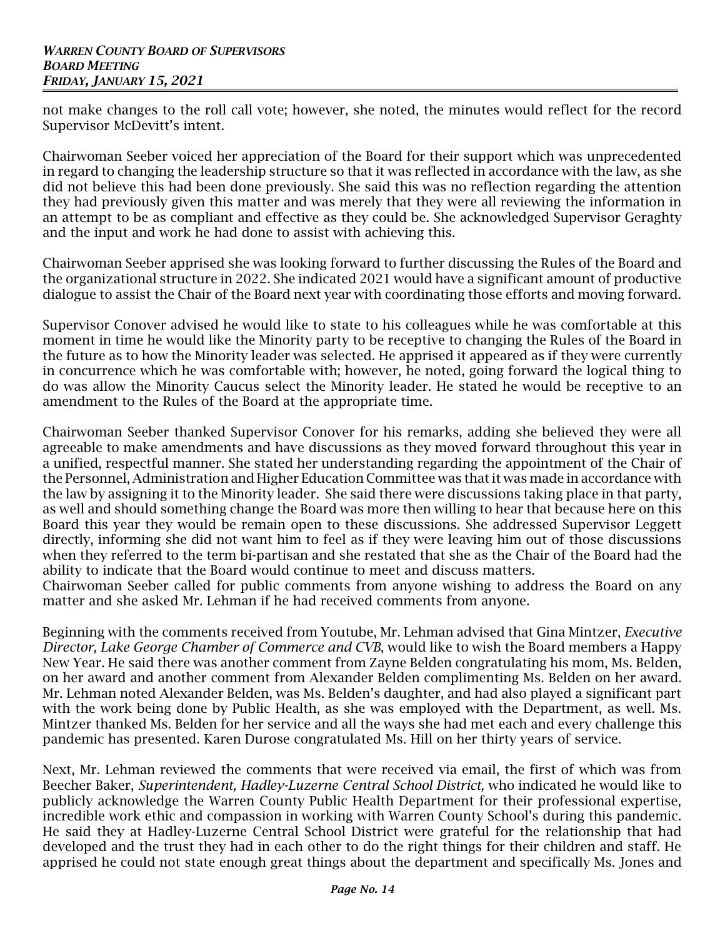not make changes to the roll call vote; however, she noted, the minutes would reflect for the record Supervisor McDevitt's intent.

Chairwoman Seeber voiced her appreciation of the Board for their support which was unprecedented in regard to changing the leadership structure so that it was reflected in accordance with the law, as she did not believe this had been done previously. She said this was no reflection regarding the attention they had previously given this matter and was merely that they were all reviewing the information in an attempt to be as compliant and effective as they could be. She acknowledged Supervisor Geraghty and the input and work he had done to assist with achieving this.

Chairwoman Seeber apprised she was looking forward to further discussing the Rules of the Board and the organizational structure in 2022. She indicated 2021 would have a significant amount of productive dialogue to assist the Chair of the Board next year with coordinating those efforts and moving forward.

Supervisor Conover advised he would like to state to his colleagues while he was comfortable at this moment in time he would like the Minority party to be receptive to changing the Rules of the Board in the future as to how the Minority leader was selected. He apprised it appeared as if they were currently in concurrence which he was comfortable with; however, he noted, going forward the logical thing to do was allow the Minority Caucus select the Minority leader. He stated he would be receptive to an amendment to the Rules of the Board at the appropriate time.

Chairwoman Seeber thanked Supervisor Conover for his remarks, adding she believed they were all agreeable to make amendments and have discussions as they moved forward throughout this year in a unified, respectful manner. She stated her understanding regarding the appointment of the Chair of the Personnel, Administration and Higher Education Committee was that it was made in accordance with the law by assigning it to the Minority leader. She said there were discussions taking place in that party, as well and should something change the Board was more then willing to hear that because here on this Board this year they would be remain open to these discussions. She addressed Supervisor Leggett directly, informing she did not want him to feel as if they were leaving him out of those discussions when they referred to the term bi-partisan and she restated that she as the Chair of the Board had the ability to indicate that the Board would continue to meet and discuss matters.

Chairwoman Seeber called for public comments from anyone wishing to address the Board on any matter and she asked Mr. Lehman if he had received comments from anyone.

Beginning with the comments received from Youtube, Mr. Lehman advised that Gina Mintzer, *Executive Director, Lake George Chamber of Commerce and CVB*, would like to wish the Board members a Happy New Year. He said there was another comment from Zayne Belden congratulating his mom, Ms. Belden, on her award and another comment from Alexander Belden complimenting Ms. Belden on her award. Mr. Lehman noted Alexander Belden, was Ms. Belden's daughter, and had also played a significant part with the work being done by Public Health, as she was employed with the Department, as well. Ms. Mintzer thanked Ms. Belden for her service and all the ways she had met each and every challenge this pandemic has presented. Karen Durose congratulated Ms. Hill on her thirty years of service.

Next, Mr. Lehman reviewed the comments that were received via email, the first of which was from Beecher Baker, *Superintendent, Hadley-Luzerne Central School District,* who indicated he would like to publicly acknowledge the Warren County Public Health Department for their professional expertise, incredible work ethic and compassion in working with Warren County School's during this pandemic. He said they at Hadley-Luzerne Central School District were grateful for the relationship that had developed and the trust they had in each other to do the right things for their children and staff. He apprised he could not state enough great things about the department and specifically Ms. Jones and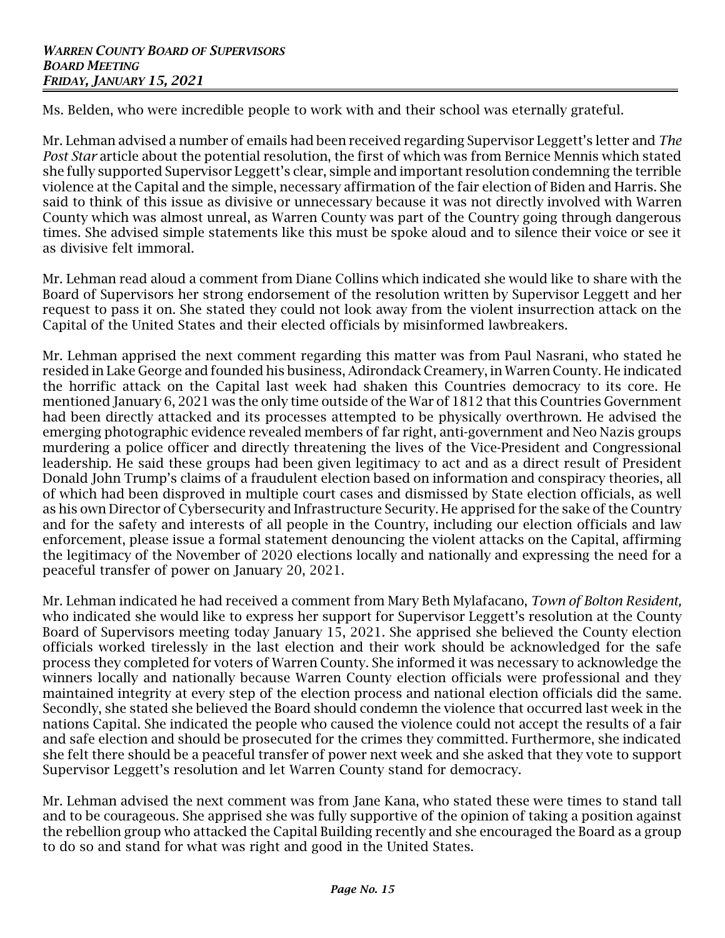Ms. Belden, who were incredible people to work with and their school was eternally grateful.

Mr. Lehman advised a number of emails had been received regarding Supervisor Leggett's letter and *The Post Star* article about the potential resolution, the first of which was from Bernice Mennis which stated she fully supported Supervisor Leggett's clear, simple and important resolution condemning the terrible violence at the Capital and the simple, necessary affirmation of the fair election of Biden and Harris. She said to think of this issue as divisive or unnecessary because it was not directly involved with Warren County which was almost unreal, as Warren County was part of the Country going through dangerous times. She advised simple statements like this must be spoke aloud and to silence their voice or see it as divisive felt immoral.

Mr. Lehman read aloud a comment from Diane Collins which indicated she would like to share with the Board of Supervisors her strong endorsement of the resolution written by Supervisor Leggett and her request to pass it on. She stated they could not look away from the violent insurrection attack on the Capital of the United States and their elected officials by misinformed lawbreakers.

Mr. Lehman apprised the next comment regarding this matter was from Paul Nasrani, who stated he resided in Lake George and founded his business, Adirondack Creamery, in Warren County. He indicated the horrific attack on the Capital last week had shaken this Countries democracy to its core. He mentioned January 6, 2021 was the only time outside of the War of 1812 that this Countries Government had been directly attacked and its processes attempted to be physically overthrown. He advised the emerging photographic evidence revealed members of far right, anti-government and Neo Nazis groups murdering a police officer and directly threatening the lives of the Vice-President and Congressional leadership. He said these groups had been given legitimacy to act and as a direct result of President Donald John Trump's claims of a fraudulent election based on information and conspiracy theories, all of which had been disproved in multiple court cases and dismissed by State election officials, as well as his own Director of Cybersecurity and Infrastructure Security. He apprised for the sake of the Country and for the safety and interests of all people in the Country, including our election officials and law enforcement, please issue a formal statement denouncing the violent attacks on the Capital, affirming the legitimacy of the November of 2020 elections locally and nationally and expressing the need for a peaceful transfer of power on January 20, 2021.

Mr. Lehman indicated he had received a comment from Mary Beth Mylafacano, *Town of Bolton Resident,* who indicated she would like to express her support for Supervisor Leggett's resolution at the County Board of Supervisors meeting today January 15, 2021. She apprised she believed the County election officials worked tirelessly in the last election and their work should be acknowledged for the safe process they completed for voters of Warren County. She informed it was necessary to acknowledge the winners locally and nationally because Warren County election officials were professional and they maintained integrity at every step of the election process and national election officials did the same. Secondly, she stated she believed the Board should condemn the violence that occurred last week in the nations Capital. She indicated the people who caused the violence could not accept the results of a fair and safe election and should be prosecuted for the crimes they committed. Furthermore, she indicated she felt there should be a peaceful transfer of power next week and she asked that they vote to support Supervisor Leggett's resolution and let Warren County stand for democracy.

Mr. Lehman advised the next comment was from Jane Kana, who stated these were times to stand tall and to be courageous. She apprised she was fully supportive of the opinion of taking a position against the rebellion group who attacked the Capital Building recently and she encouraged the Board as a group to do so and stand for what was right and good in the United States.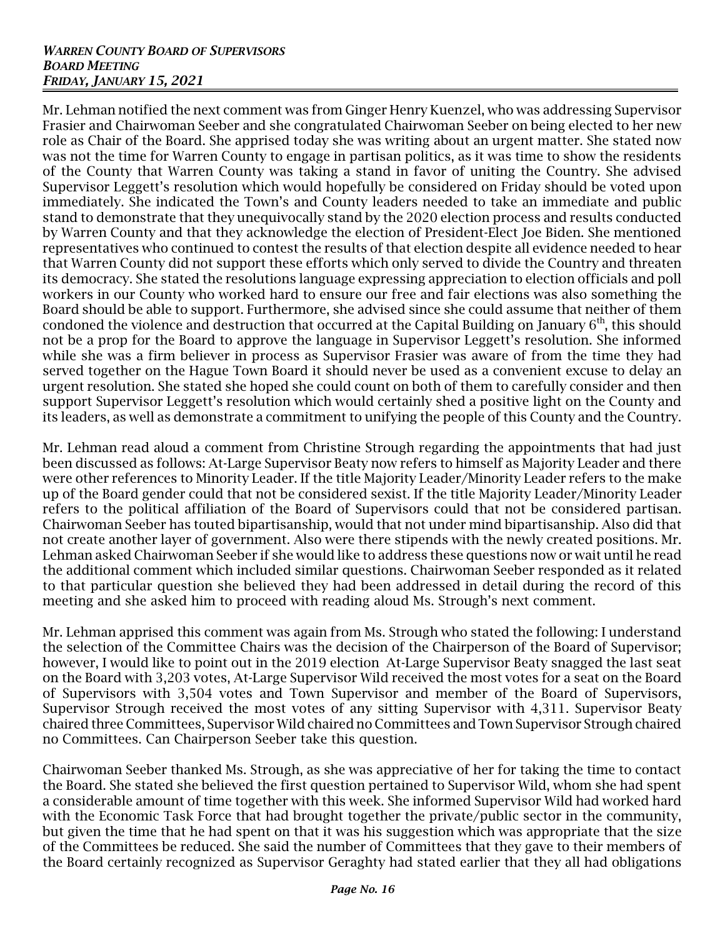Mr. Lehman notified the next comment was from Ginger Henry Kuenzel, who was addressing Supervisor Frasier and Chairwoman Seeber and she congratulated Chairwoman Seeber on being elected to her new role as Chair of the Board. She apprised today she was writing about an urgent matter. She stated now was not the time for Warren County to engage in partisan politics, as it was time to show the residents of the County that Warren County was taking a stand in favor of uniting the Country. She advised Supervisor Leggett's resolution which would hopefully be considered on Friday should be voted upon immediately. She indicated the Town's and County leaders needed to take an immediate and public stand to demonstrate that they unequivocally stand by the 2020 election process and results conducted by Warren County and that they acknowledge the election of President-Elect Joe Biden. She mentioned representatives who continued to contest the results of that election despite all evidence needed to hear that Warren County did not support these efforts which only served to divide the Country and threaten its democracy. She stated the resolutions language expressing appreciation to election officials and poll workers in our County who worked hard to ensure our free and fair elections was also something the Board should be able to support. Furthermore, she advised since she could assume that neither of them condoned the violence and destruction that occurred at the Capital Building on January  $6^{\text{th}}$ , this should not be a prop for the Board to approve the language in Supervisor Leggett's resolution. She informed while she was a firm believer in process as Supervisor Frasier was aware of from the time they had served together on the Hague Town Board it should never be used as a convenient excuse to delay an urgent resolution. She stated she hoped she could count on both of them to carefully consider and then support Supervisor Leggett's resolution which would certainly shed a positive light on the County and its leaders, as well as demonstrate a commitment to unifying the people of this County and the Country.

Mr. Lehman read aloud a comment from Christine Strough regarding the appointments that had just been discussed as follows: At-Large Supervisor Beaty now refers to himself as Majority Leader and there were other references to Minority Leader. If the title Majority Leader/Minority Leader refers to the make up of the Board gender could that not be considered sexist. If the title Majority Leader/Minority Leader refers to the political affiliation of the Board of Supervisors could that not be considered partisan. Chairwoman Seeber has touted bipartisanship, would that not under mind bipartisanship. Also did that not create another layer of government. Also were there stipends with the newly created positions. Mr. Lehman asked Chairwoman Seeber if she would like to address these questions now or wait until he read the additional comment which included similar questions. Chairwoman Seeber responded as it related to that particular question she believed they had been addressed in detail during the record of this meeting and she asked him to proceed with reading aloud Ms. Strough's next comment.

Mr. Lehman apprised this comment was again from Ms. Strough who stated the following: I understand the selection of the Committee Chairs was the decision of the Chairperson of the Board of Supervisor; however, I would like to point out in the 2019 election At-Large Supervisor Beaty snagged the last seat on the Board with 3,203 votes, At-Large Supervisor Wild received the most votes for a seat on the Board of Supervisors with 3,504 votes and Town Supervisor and member of the Board of Supervisors, Supervisor Strough received the most votes of any sitting Supervisor with 4,311. Supervisor Beaty chaired three Committees, Supervisor Wild chaired noCommittees and Town Supervisor Strough chaired no Committees. Can Chairperson Seeber take this question.

Chairwoman Seeber thanked Ms. Strough, as she was appreciative of her for taking the time to contact the Board. She stated she believed the first question pertained to Supervisor Wild, whom she had spent a considerable amount of time together with this week. She informed Supervisor Wild had worked hard with the Economic Task Force that had brought together the private/public sector in the community, but given the time that he had spent on that it was his suggestion which was appropriate that the size of the Committees be reduced. She said the number of Committees that they gave to their members of the Board certainly recognized as Supervisor Geraghty had stated earlier that they all had obligations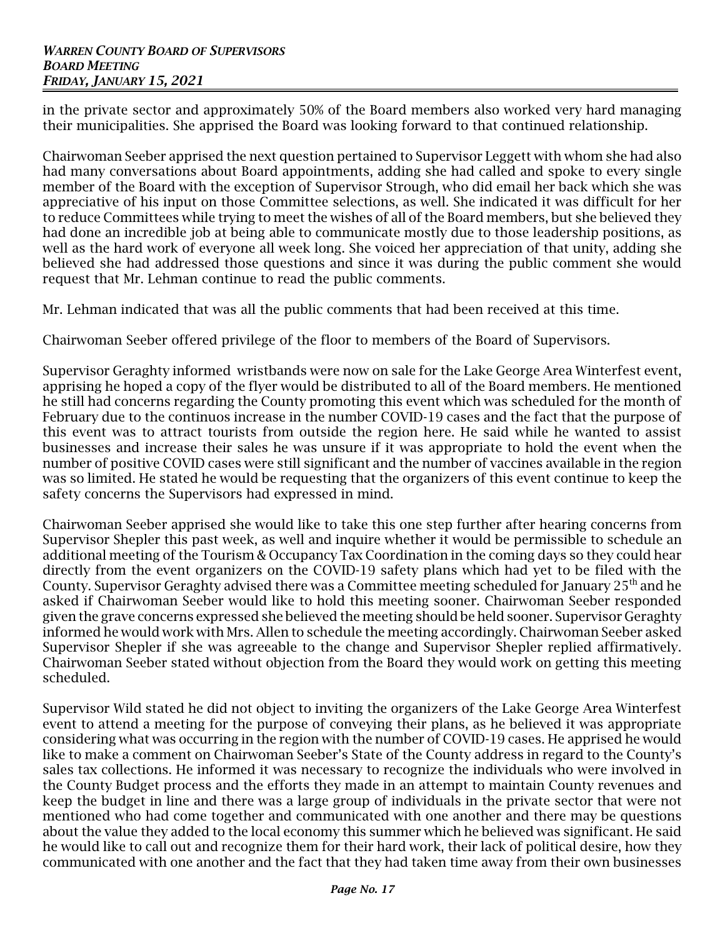in the private sector and approximately 50% of the Board members also worked very hard managing their municipalities. She apprised the Board was looking forward to that continued relationship.

Chairwoman Seeber apprised the next question pertained to Supervisor Leggett with whom she had also had many conversations about Board appointments, adding she had called and spoke to every single member of the Board with the exception of Supervisor Strough, who did email her back which she was appreciative of his input on those Committee selections, as well. She indicated it was difficult for her to reduce Committees while trying to meet the wishes of all of the Board members, but she believed they had done an incredible job at being able to communicate mostly due to those leadership positions, as well as the hard work of everyone all week long. She voiced her appreciation of that unity, adding she believed she had addressed those questions and since it was during the public comment she would request that Mr. Lehman continue to read the public comments.

Mr. Lehman indicated that was all the public comments that had been received at this time.

Chairwoman Seeber offered privilege of the floor to members of the Board of Supervisors.

Supervisor Geraghty informed wristbands were now on sale for the Lake George Area Winterfest event, apprising he hoped a copy of the flyer would be distributed to all of the Board members. He mentioned he still had concerns regarding the County promoting this event which was scheduled for the month of February due to the continuos increase in the number COVID-19 cases and the fact that the purpose of this event was to attract tourists from outside the region here. He said while he wanted to assist businesses and increase their sales he was unsure if it was appropriate to hold the event when the number of positive COVID cases were still significant and the number of vaccines available in the region was so limited. He stated he would be requesting that the organizers of this event continue to keep the safety concerns the Supervisors had expressed in mind.

Chairwoman Seeber apprised she would like to take this one step further after hearing concerns from Supervisor Shepler this past week, as well and inquire whether it would be permissible to schedule an additional meeting of the Tourism & Occupancy Tax Coordination in the coming days so they could hear directly from the event organizers on the COVID-19 safety plans which had yet to be filed with the County. Supervisor Geraghty advised there was a Committee meeting scheduled for January 25 $^{\rm th}$  and he asked if Chairwoman Seeber would like to hold this meeting sooner. Chairwoman Seeber responded given the grave concerns expressed she believed the meeting should be held sooner. Supervisor Geraghty informed he would work with Mrs. Allen to schedule the meeting accordingly. Chairwoman Seeber asked Supervisor Shepler if she was agreeable to the change and Supervisor Shepler replied affirmatively. Chairwoman Seeber stated without objection from the Board they would work on getting this meeting scheduled.

Supervisor Wild stated he did not object to inviting the organizers of the Lake George Area Winterfest event to attend a meeting for the purpose of conveying their plans, as he believed it was appropriate considering what was occurring in the region with the number of COVID-19 cases. He apprised he would like to make a comment on Chairwoman Seeber's State of the County address in regard to the County's sales tax collections. He informed it was necessary to recognize the individuals who were involved in the County Budget process and the efforts they made in an attempt to maintain County revenues and keep the budget in line and there was a large group of individuals in the private sector that were not mentioned who had come together and communicated with one another and there may be questions about the value they added to the local economy this summer which he believed was significant. He said he would like to call out and recognize them for their hard work, their lack of political desire, how they communicated with one another and the fact that they had taken time away from their own businesses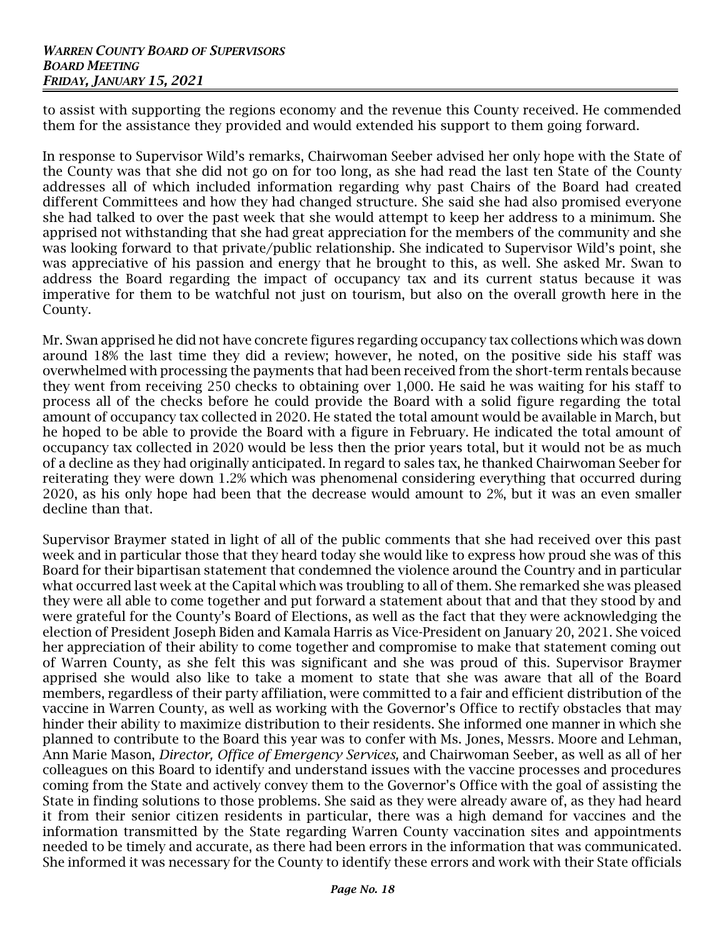to assist with supporting the regions economy and the revenue this County received. He commended them for the assistance they provided and would extended his support to them going forward.

In response to Supervisor Wild's remarks, Chairwoman Seeber advised her only hope with the State of the County was that she did not go on for too long, as she had read the last ten State of the County addresses all of which included information regarding why past Chairs of the Board had created different Committees and how they had changed structure. She said she had also promised everyone she had talked to over the past week that she would attempt to keep her address to a minimum. She apprised not withstanding that she had great appreciation for the members of the community and she was looking forward to that private/public relationship. She indicated to Supervisor Wild's point, she was appreciative of his passion and energy that he brought to this, as well. She asked Mr. Swan to address the Board regarding the impact of occupancy tax and its current status because it was imperative for them to be watchful not just on tourism, but also on the overall growth here in the County.

Mr. Swan apprised he did not have concrete figures regarding occupancy tax collections which was down around 18% the last time they did a review; however, he noted, on the positive side his staff was overwhelmed with processing the payments that had been received from the short-term rentals because they went from receiving 250 checks to obtaining over 1,000. He said he was waiting for his staff to process all of the checks before he could provide the Board with a solid figure regarding the total amount of occupancy tax collected in 2020. He stated the total amount would be available in March, but he hoped to be able to provide the Board with a figure in February. He indicated the total amount of occupancy tax collected in 2020 would be less then the prior years total, but it would not be as much of a decline as they had originally anticipated. In regard to sales tax, he thanked Chairwoman Seeber for reiterating they were down 1.2% which was phenomenal considering everything that occurred during 2020, as his only hope had been that the decrease would amount to 2%, but it was an even smaller decline than that.

Supervisor Braymer stated in light of all of the public comments that she had received over this past week and in particular those that they heard today she would like to express how proud she was of this Board for their bipartisan statement that condemned the violence around the Country and in particular what occurred last week at the Capital which was troubling to all of them. She remarked she was pleased they were all able to come together and put forward a statement about that and that they stood by and were grateful for the County's Board of Elections, as well as the fact that they were acknowledging the election of President Joseph Biden and Kamala Harris as Vice-President on January 20, 2021. She voiced her appreciation of their ability to come together and compromise to make that statement coming out of Warren County, as she felt this was significant and she was proud of this. Supervisor Braymer apprised she would also like to take a moment to state that she was aware that all of the Board members, regardless of their party affiliation, were committed to a fair and efficient distribution of the vaccine in Warren County, as well as working with the Governor's Office to rectify obstacles that may hinder their ability to maximize distribution to their residents. She informed one manner in which she planned to contribute to the Board this year was to confer with Ms. Jones, Messrs. Moore and Lehman, Ann Marie Mason, *Director, Office of Emergency Services,* and Chairwoman Seeber, as well as all of her colleagues on this Board to identify and understand issues with the vaccine processes and procedures coming from the State and actively convey them to the Governor's Office with the goal of assisting the State in finding solutions to those problems. She said as they were already aware of, as they had heard it from their senior citizen residents in particular, there was a high demand for vaccines and the information transmitted by the State regarding Warren County vaccination sites and appointments needed to be timely and accurate, as there had been errors in the information that was communicated. She informed it was necessary for the County to identify these errors and work with their State officials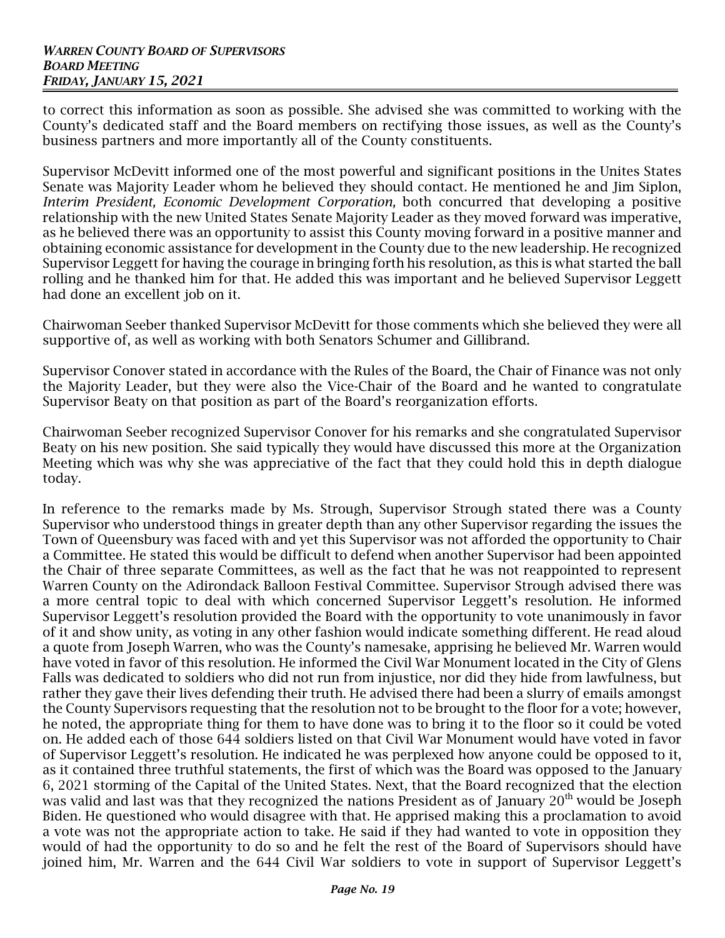to correct this information as soon as possible. She advised she was committed to working with the County's dedicated staff and the Board members on rectifying those issues, as well as the County's business partners and more importantly all of the County constituents.

Supervisor McDevitt informed one of the most powerful and significant positions in the Unites States Senate was Majority Leader whom he believed they should contact. He mentioned he and Jim Siplon, *Interim President, Economic Development Corporation,* both concurred that developing a positive relationship with the new United States Senate Majority Leader as they moved forward was imperative, as he believed there was an opportunity to assist this County moving forward in a positive manner and obtaining economic assistance for development in the County due to the new leadership. He recognized Supervisor Leggett for having the courage in bringing forth his resolution, as this is what started the ball rolling and he thanked him for that. He added this was important and he believed Supervisor Leggett had done an excellent job on it.

Chairwoman Seeber thanked Supervisor McDevitt for those comments which she believed they were all supportive of, as well as working with both Senators Schumer and Gillibrand.

Supervisor Conover stated in accordance with the Rules of the Board, the Chair of Finance was not only the Majority Leader, but they were also the Vice-Chair of the Board and he wanted to congratulate Supervisor Beaty on that position as part of the Board's reorganization efforts.

Chairwoman Seeber recognized Supervisor Conover for his remarks and she congratulated Supervisor Beaty on his new position. She said typically they would have discussed this more at the Organization Meeting which was why she was appreciative of the fact that they could hold this in depth dialogue today.

In reference to the remarks made by Ms. Strough, Supervisor Strough stated there was a County Supervisor who understood things in greater depth than any other Supervisor regarding the issues the Town of Queensbury was faced with and yet this Supervisor was not afforded the opportunity to Chair a Committee. He stated this would be difficult to defend when another Supervisor had been appointed the Chair of three separate Committees, as well as the fact that he was not reappointed to represent Warren County on the Adirondack Balloon Festival Committee. Supervisor Strough advised there was a more central topic to deal with which concerned Supervisor Leggett's resolution. He informed Supervisor Leggett's resolution provided the Board with the opportunity to vote unanimously in favor of it and show unity, as voting in any other fashion would indicate something different. He read aloud a quote from Joseph Warren, who was the County's namesake, apprising he believed Mr. Warren would have voted in favor of this resolution. He informed the Civil War Monument located in the City of Glens Falls was dedicated to soldiers who did not run from injustice, nor did they hide from lawfulness, but rather they gave their lives defending their truth. He advised there had been a slurry of emails amongst the County Supervisors requesting that the resolution not to be brought to the floor for a vote; however, he noted, the appropriate thing for them to have done was to bring it to the floor so it could be voted on. He added each of those 644 soldiers listed on that Civil War Monument would have voted in favor of Supervisor Leggett's resolution. He indicated he was perplexed how anyone could be opposed to it, as it contained three truthful statements, the first of which was the Board was opposed to the January 6, 2021 storming of the Capital of the United States. Next, that the Board recognized that the election was valid and last was that they recognized the nations President as of January  $20<sup>th</sup>$  would be Joseph Biden. He questioned who would disagree with that. He apprised making this a proclamation to avoid a vote was not the appropriate action to take. He said if they had wanted to vote in opposition they would of had the opportunity to do so and he felt the rest of the Board of Supervisors should have joined him, Mr. Warren and the 644 Civil War soldiers to vote in support of Supervisor Leggett's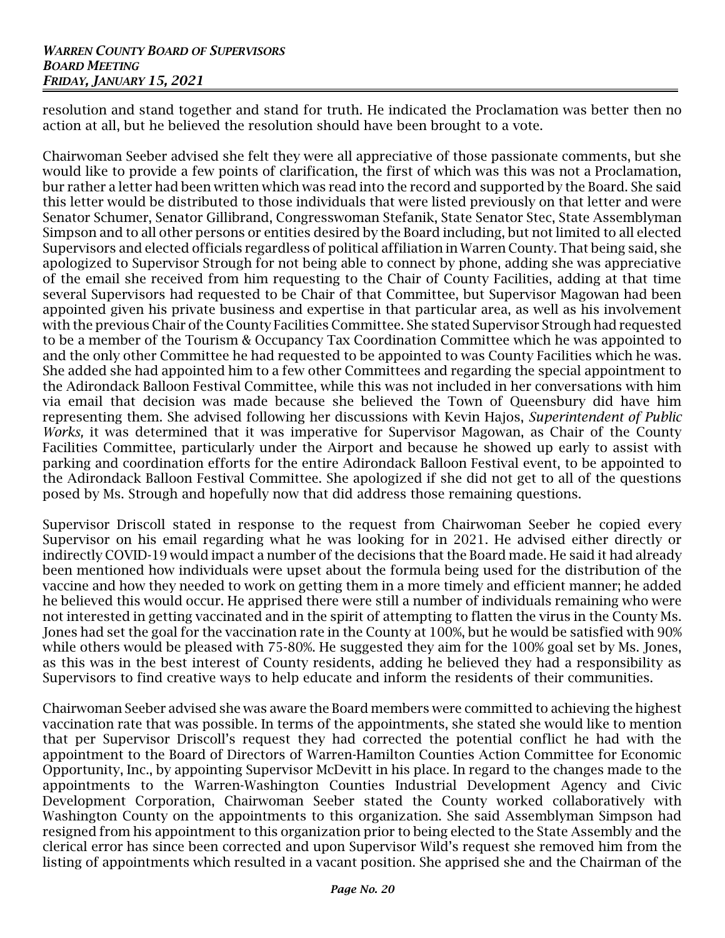resolution and stand together and stand for truth. He indicated the Proclamation was better then no action at all, but he believed the resolution should have been brought to a vote.

Chairwoman Seeber advised she felt they were all appreciative of those passionate comments, but she would like to provide a few points of clarification, the first of which was this was not a Proclamation, bur rather a letter had been written which was read into the record and supported by the Board. She said this letter would be distributed to those individuals that were listed previously on that letter and were Senator Schumer, Senator Gillibrand, Congresswoman Stefanik, State Senator Stec, State Assemblyman Simpson and to all other persons or entities desired by the Board including, but not limited to all elected Supervisors and elected officials regardless of political affiliation in Warren County. That being said, she apologized to Supervisor Strough for not being able to connect by phone, adding she was appreciative of the email she received from him requesting to the Chair of County Facilities, adding at that time several Supervisors had requested to be Chair of that Committee, but Supervisor Magowan had been appointed given his private business and expertise in that particular area, as well as his involvement with the previous Chair of the County Facilities Committee. She stated Supervisor Strough had requested to be a member of the Tourism & Occupancy Tax Coordination Committee which he was appointed to and the only other Committee he had requested to be appointed to was County Facilities which he was. She added she had appointed him to a few other Committees and regarding the special appointment to the Adirondack Balloon Festival Committee, while this was not included in her conversations with him via email that decision was made because she believed the Town of Queensbury did have him representing them. She advised following her discussions with Kevin Hajos, *Superintendent of Public Works,* it was determined that it was imperative for Supervisor Magowan, as Chair of the County Facilities Committee, particularly under the Airport and because he showed up early to assist with parking and coordination efforts for the entire Adirondack Balloon Festival event, to be appointed to the Adirondack Balloon Festival Committee. She apologized if she did not get to all of the questions posed by Ms. Strough and hopefully now that did address those remaining questions.

Supervisor Driscoll stated in response to the request from Chairwoman Seeber he copied every Supervisor on his email regarding what he was looking for in 2021. He advised either directly or indirectly COVID-19 would impact a number of the decisions that the Board made. He said it had already been mentioned how individuals were upset about the formula being used for the distribution of the vaccine and how they needed to work on getting them in a more timely and efficient manner; he added he believed this would occur. He apprised there were still a number of individuals remaining who were not interested in getting vaccinated and in the spirit of attempting to flatten the virus in the County Ms. Jones had set the goal for the vaccination rate in the County at 100%, but he would be satisfied with 90% while others would be pleased with 75-80%. He suggested they aim for the 100% goal set by Ms. Jones, as this was in the best interest of County residents, adding he believed they had a responsibility as Supervisors to find creative ways to help educate and inform the residents of their communities.

Chairwoman Seeber advised she was aware the Board members were committed to achieving the highest vaccination rate that was possible. In terms of the appointments, she stated she would like to mention that per Supervisor Driscoll's request they had corrected the potential conflict he had with the appointment to the Board of Directors of Warren-Hamilton Counties Action Committee for Economic Opportunity, Inc., by appointing Supervisor McDevitt in his place. In regard to the changes made to the appointments to the Warren-Washington Counties Industrial Development Agency and Civic Development Corporation, Chairwoman Seeber stated the County worked collaboratively with Washington County on the appointments to this organization. She said Assemblyman Simpson had resigned from his appointment to this organization prior to being elected to the State Assembly and the clerical error has since been corrected and upon Supervisor Wild's request she removed him from the listing of appointments which resulted in a vacant position. She apprised she and the Chairman of the